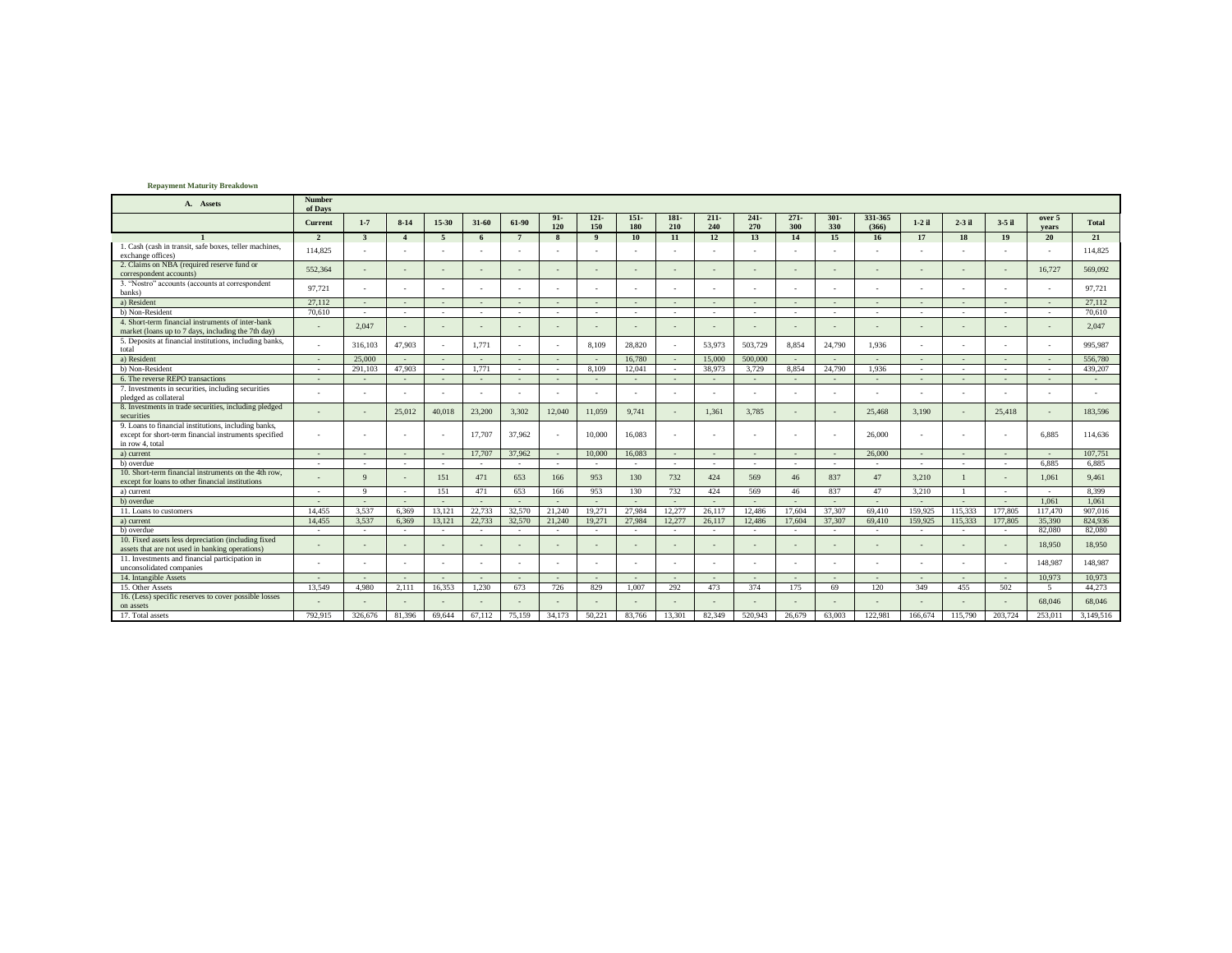## **Repayment Maturity Breakdown**

| A. Assets                                                                                                                        | Number<br>of Days        |                         |                        |                          |                |                          |                |                |                          |             |                          |                          |                |                          |                          |                |          |                          |                          |              |
|----------------------------------------------------------------------------------------------------------------------------------|--------------------------|-------------------------|------------------------|--------------------------|----------------|--------------------------|----------------|----------------|--------------------------|-------------|--------------------------|--------------------------|----------------|--------------------------|--------------------------|----------------|----------|--------------------------|--------------------------|--------------|
|                                                                                                                                  | Current                  | $1 - 7$                 | $8 - 14$               | 15-30                    | 31-60          | 61-90                    | $91 -$<br>120  | $121 -$<br>150 | $151-$<br>180            | 181-<br>210 | $211 -$<br>240           | $241 -$<br>270           | $271 -$<br>300 | $301 -$<br>330           | 331-365<br>(366)         | $1-2$ il       | $2-3$ il | $3-5$ il                 | over 5<br>vears          | <b>Total</b> |
|                                                                                                                                  | $\overline{2}$           | $\overline{\mathbf{3}}$ | $\boldsymbol{\Lambda}$ | - 5                      | 6              | $7\phantom{.0}$          | 8              | $\mathbf{Q}$   | 10                       | 11          | 12                       | 13                       | 14             | 15                       | 16                       | 17             | 18       | 19                       | 20                       | 21           |
| 1. Cash (cash in transit, safe boxes, teller machines,<br>exchange offices)                                                      | 114,825                  |                         |                        |                          |                |                          |                |                |                          |             |                          |                          |                |                          |                          |                |          |                          |                          | 114,825      |
| 2. Claims on NBA (required reserve fund or<br>correspondent accounts)                                                            | 552,364                  |                         |                        |                          |                |                          |                |                |                          |             |                          |                          |                |                          |                          | $\sim$         |          | $\overline{\phantom{a}}$ | 16.727                   | 569,092      |
| 3. "Nostro" accounts (accounts at correspondent<br>banks)                                                                        | 97.721                   |                         |                        | ٠                        |                | $\sim$                   | ٠              |                |                          |             |                          |                          |                |                          |                          | ٠              |          | ٠                        |                          | 97,721       |
| a) Resident                                                                                                                      | 27.112                   |                         |                        | $\overline{\phantom{a}}$ | $\overline{a}$ |                          |                |                |                          |             |                          |                          |                | $\overline{a}$           |                          |                |          | $\sim$                   |                          | 27.112       |
| b) Non-Resident                                                                                                                  | 70,610                   | $\sim$                  | $\sim$                 | $\overline{\phantom{a}}$ | $\sim$         | $\sim$                   | $\sim$         |                | ٠                        | $\sim$      | $\sim$                   | $\sim$                   |                | ٠                        | $\sim$                   | ٠              | $\sim$   | $\sim$                   | $\sim$                   | 70.610       |
| 4. Short-term financial instruments of inter-bank<br>market (loans up to 7 days, including the 7th day)                          |                          | 2,047                   |                        |                          |                |                          |                |                |                          |             |                          |                          |                |                          |                          |                |          | ٠                        |                          | 2,047        |
| 5. Deposits at financial institutions, including banks,<br>total                                                                 |                          | 316,103                 | 47,903                 |                          | 1.771          |                          |                | 8.109          | 28.820                   |             | 53,973                   | 503,729                  | 8.854          | 24,790                   | 1.936                    |                |          |                          |                          | 995,987      |
| a) Resident                                                                                                                      | $\sim$                   | 25,000                  |                        | $\overline{a}$           | $\sim$         |                          | ٠              |                | 16,780                   | $\sim$      | 15,000                   | 500,000                  | $\sim$         | $\overline{a}$           |                          |                |          | $\sim$                   |                          | 556,780      |
| b) Non-Resident                                                                                                                  | $\sim$                   | 291.103                 | 47.903                 | $\sim$                   | 1.771          | $\sim$                   | ۰              | 8.109          | 12.041                   | <b>1999</b> | 38.973                   | 3.729                    | 8.854          | 24,790                   | 1.936                    | $\sim$         | $\sim$   | $\sim$                   | $\overline{\phantom{a}}$ | 439.207      |
| 6. The reverse REPO transactions                                                                                                 |                          |                         |                        |                          | $\overline{a}$ |                          |                |                | $\overline{a}$           |             | $\sim$                   |                          |                |                          |                          | $\overline{a}$ |          | $\sim$                   |                          |              |
| 7. Investments in securities, including securities<br>pledged as collateral                                                      |                          |                         |                        | ٠                        |                | $\sim$                   |                |                |                          |             |                          |                          |                |                          |                          |                |          | ٠                        |                          |              |
| 8. Investments in trade securities, including pledged<br>securities                                                              |                          |                         | 25.012                 | 40,018                   | 23,200         | 3.302                    | 12.040         | 11.059         | 9.741                    |             | 1.361                    | 3.785                    |                |                          | 25,468                   | 3.190          |          | 25,418                   |                          | 183,596      |
| 9. Loans to financial institutions, including banks,<br>except for short-term financial instruments specified<br>in row 4, total | $\sim$                   |                         |                        | $\overline{a}$           | 17.707         | 37,962                   |                | 10,000         | 16.083                   |             |                          |                          |                |                          | 26,000                   |                |          | $\sim$                   | 6.885                    | 114,636      |
| a) current                                                                                                                       | $\overline{a}$           |                         |                        | ٠.                       | 17,707         | 37,962                   | $\sim$         | 10,000         | 16.083                   |             | $\sim$                   |                          |                | $\overline{\phantom{a}}$ | 26,000                   | $\overline{a}$ |          | $\overline{a}$           | $\sim$                   | 107.751      |
| b) overdue                                                                                                                       | ٠                        |                         |                        | $\sim$                   | $\sim$         | $\overline{\phantom{a}}$ | $\sim$         |                | $\overline{\phantom{a}}$ | . .         | $\sim$                   | $\sim$                   |                | $\sim$                   |                          | $\sim$         | $\sim$   | $\sim$                   | 6.885                    | 6.885        |
| 10. Short-term financial instruments on the 4th row.<br>except for loans to other financial institutions                         |                          | $\Omega$                |                        | 151                      | 471            | 653                      | 166            | 953            | 130                      | 732         | 424                      | 569                      | 46             | 837                      | 47                       | 3,210          |          | $\overline{\phantom{a}}$ | 1.061                    | 9.461        |
| a) current                                                                                                                       | $\sim$                   | $\mathbf{Q}$            | . .                    | 151                      | 471            | 653                      | 166            | 953            | 130                      | 732         | 424                      | 569                      | 46             | 837                      | 47                       | 3,210          |          | $\sim$                   | $\sim$                   | 8,399        |
| b) overdue                                                                                                                       | $\sim$                   |                         |                        |                          | $\sim$         | $\sim$                   | $\overline{a}$ |                | $\overline{\phantom{a}}$ |             |                          |                          |                |                          | $\sim$                   | $\sim$         |          | $\sim$                   | 1.061                    | 1.061        |
| 11. Loans to customers                                                                                                           | 14.455                   | 3,537                   | 6.369                  | 13,121                   | 22,733         | 32,570                   | 21,240         | 19,271         | 27,984                   | 12,277      | 26,117                   | 12,486                   | 17,604         | 37,307                   | 69,410                   | 159,925        | 115,333  | 177,805                  | 117,470                  | 907,016      |
| a) current                                                                                                                       | 14.455                   | 3,537                   | 6.369                  | 13,121                   | 22,733         | 32.570                   | 21.240         | 19,271         | 27,984                   | 12,277      | 26,117                   | 12,486                   | 17,604         | 37,307                   | 69,410                   | 159,925        | 115.333  | 177,805                  | 35,390                   | 824,936      |
| b) overdue                                                                                                                       | $\sim$                   | $\sim$                  | . .                    | $\overline{\phantom{a}}$ | $\sim$         | $\sim$                   | ٠              |                | $\overline{\phantom{a}}$ | . .         | $\sim$                   | $\sim$                   | $\sim$         | $\overline{\phantom{a}}$ | $\sim$                   | $\sim$         | $\sim$   | $\sim$                   | 82,080                   | 82,080       |
| 10. Fixed assets less depreciation (including fixed<br>assets that are not used in banking operations)                           |                          |                         |                        | ٠                        |                | $\sim$                   |                |                |                          |             |                          |                          |                |                          |                          |                |          | $\sim$                   | 18,950                   | 18.950       |
| 11. Investments and financial participation in<br>unconsolidated companies                                                       |                          |                         |                        |                          |                |                          |                |                |                          |             |                          |                          |                |                          |                          |                |          |                          | 148,987                  | 148,987      |
| 14. Intangible Assets                                                                                                            | $\overline{\phantom{a}}$ |                         | $\sim$                 | $\overline{\phantom{a}}$ | $\sim$         | $\sim$                   | ٠              |                | $\sim$                   | $\sim$      | $\sim$                   | $\overline{\phantom{a}}$ | $\sim$         | $\sim$                   | $\overline{\phantom{a}}$ | $\sim$         |          | $\sim$                   | 10.973                   | 10.973       |
| 15. Other Assets                                                                                                                 | 13.549                   | 4.980                   | 2.111                  | 16.353                   | 1.230          | 673                      | 726            | 829            | 1.007                    | 292         | 473                      | 374                      | 175            | 69                       | 120                      | 349            | 455      | 502                      | -5                       | 44.273       |
| 16. (Less) specific reserves to cover possible losses<br>on assets                                                               |                          |                         |                        | $\sim$                   |                | $\overline{a}$           |                |                |                          |             | $\overline{\phantom{a}}$ |                          |                | $\overline{a}$           |                          | $\sim$         |          | $\sim$                   | 68,046                   | 68,046       |
| 17. Total assets                                                                                                                 | 792.915                  | 326,676                 | 81.396                 | 69,644                   | 67.112         | 75.159                   | 34,173         | 50,221         | 83,766                   | 13.301      | 82,349                   | 520,943                  | 26,679         | 63,003                   | 122,981                  | 166,674        | 115,790  | 203,724                  | 253,011                  | 3.149.516    |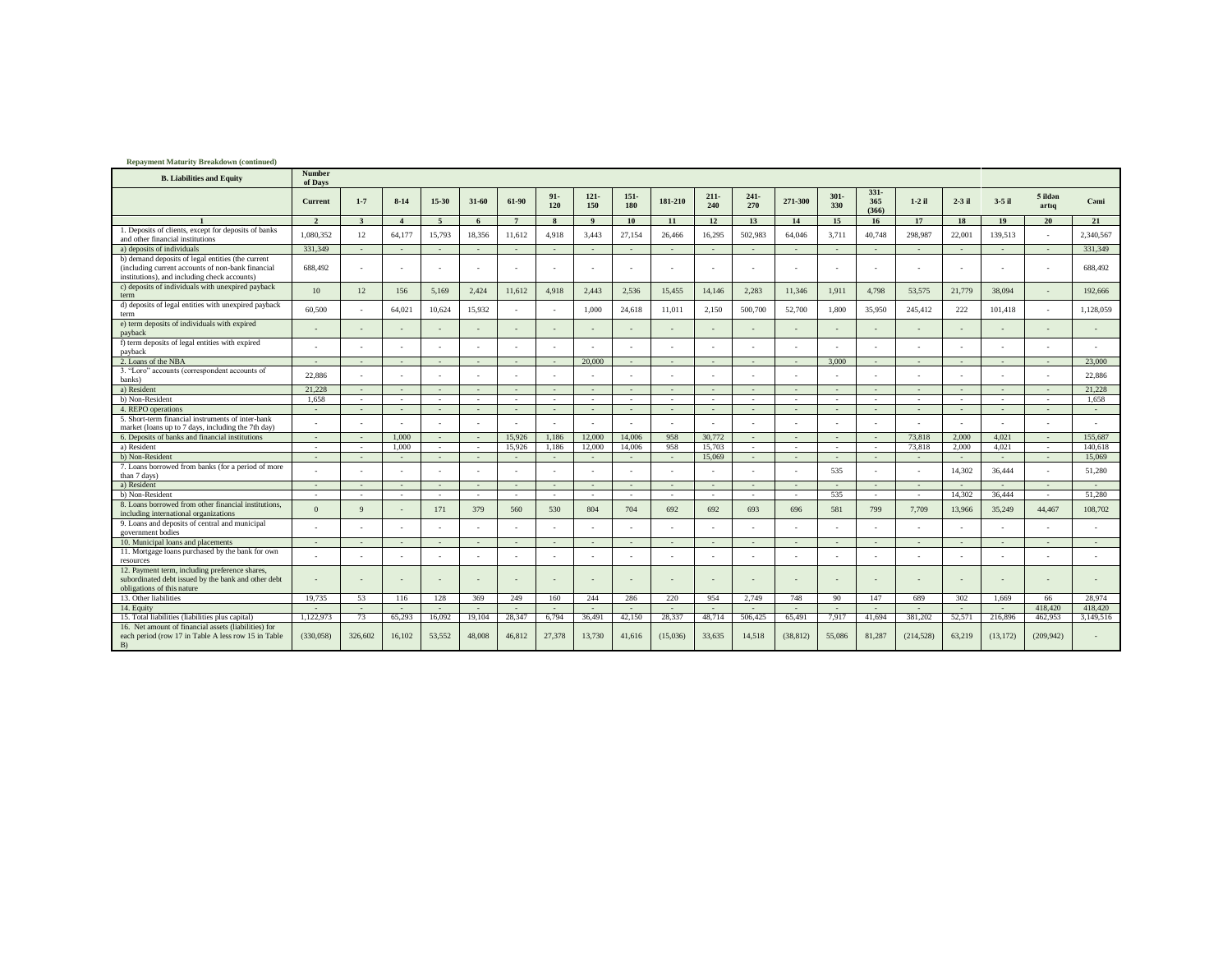| <b>Repayment Maturity Breakdown (continued)</b>                                                                                                        |                   |                          |                          |                |                |                |                          |                |                          |                |                |                |                          |                |                         |            |                          |           |                  |           |
|--------------------------------------------------------------------------------------------------------------------------------------------------------|-------------------|--------------------------|--------------------------|----------------|----------------|----------------|--------------------------|----------------|--------------------------|----------------|----------------|----------------|--------------------------|----------------|-------------------------|------------|--------------------------|-----------|------------------|-----------|
| <b>B.</b> Liabilities and Equity                                                                                                                       | Number<br>of Days |                          |                          |                |                |                |                          |                |                          |                |                |                |                          |                |                         |            |                          |           |                  |           |
|                                                                                                                                                        | Current           | $1 - 7$                  | $8 - 14$                 | 15-30          | 31-60          | 61-90          | $91 -$<br>120            | $121 -$<br>150 | $151 -$<br>180           | 181-210        | $211 -$<br>240 | $241 -$<br>270 | 271-300                  | $301 -$<br>330 | $331 -$<br>365<br>(366) | $1-2$ il   | $2-3$ il                 | $3-5$ il  | 5 ildən<br>artıq | Cami      |
|                                                                                                                                                        | $\mathcal{L}$     | $\mathbf{3}$             | $\mathbf{A}$             | 5              | 6              |                | -8                       | $\mathbf{o}$   | 10                       | 11             | 12             | 13             | 14                       | 15             | 16                      | 17         | 18                       | 19        | 20               | 21        |
| 1. Deposits of clients, except for deposits of banks<br>and other financial institutions                                                               | 1.080.352         | 12                       | 64,177                   | 15,793         | 18.356         | 11,612         | 4.918                    | 3.443          | 27,154                   | 26,466         | 16.295         | 502.983        | 64,046                   | 3.711          | 40.748                  | 298,987    | 22,001                   | 139.513   |                  | 2.340.567 |
| a) deposits of individuals                                                                                                                             | 331,349           | $\overline{a}$           | $\overline{a}$           | $\overline{a}$ | $\sim$         | $\sim$         |                          |                | $\sim$                   |                | $\sim$         | $\overline{a}$ | $\sim$                   |                |                         |            | $\sim$                   |           |                  | 331.349   |
| b) demand deposits of legal entities (the current<br>(including current accounts of non-bank financial<br>institutions), and including check accounts) | 688.492           |                          |                          |                |                |                |                          |                |                          |                |                |                |                          |                |                         |            |                          |           |                  | 688.492   |
| c) deposits of individuals with unexpired payback<br>term                                                                                              | 10                | 12                       | 156                      | 5.169          | 2.424          | 11,612         | 4.918                    | 2.443          | 2.536                    | 15.455         | 14.146         | 2.283          | 11.346                   | 1.911          | 4.798                   | 53.575     | 21,779                   | 38,094    |                  | 192,666   |
| d) deposits of legal entities with unexpired payback<br>term                                                                                           | 60,500            |                          | 64,021                   | 10.624         | 15.932         |                |                          | 1.000          | 24,618                   | 11.011         | 2,150          | 500,700        | 52,700                   | 1.800          | 35,950                  | 245,412    | 222                      | 101.418   |                  | 1.128.059 |
| e) term deposits of individuals with expired<br>payback                                                                                                |                   |                          |                          |                |                |                |                          |                |                          |                |                |                |                          |                |                         |            |                          |           |                  |           |
| f) term deposits of legal entities with expired<br>payback                                                                                             |                   |                          |                          |                |                |                |                          |                |                          |                |                |                |                          |                |                         |            |                          |           |                  |           |
| 2. Loans of the NBA                                                                                                                                    |                   | $\overline{\phantom{a}}$ | $\sim$                   | $\sim$         | $\sim$         | $\overline{a}$ | $\sim$                   | 20,000         | $\overline{a}$           | $\sim$         | $\sim$         | $\sim$         | $\overline{a}$           | 3,000          |                         | $\sim$     | $\sim$                   | $\sim$    | $\sim$           | 23.000    |
| 3. "Loro" accounts (correspondent accounts of<br>banks)                                                                                                | 22.886            |                          |                          |                |                |                |                          |                |                          |                |                |                |                          |                |                         |            |                          |           |                  | 22.886    |
| a) Resident                                                                                                                                            | 21.228            | $\overline{a}$           | $\overline{a}$           | $\sim$         | $\sim$         | $\sim$         | $\sim$                   | $\sim$         | $\sim$                   | $\sim$         | $\sim$         | $\sim$         | $\sim$                   | $\sim$         | $\sim$                  | $\sim$     | $\sim$                   | $\sim$    | $\sim$           | 21,228    |
| b) Non-Resident                                                                                                                                        | 1.658             | $\sim$                   | $\overline{\phantom{a}}$ | $\sim$         | $\sim$         | $\sim$         | $\overline{\phantom{a}}$ | $\sim$         | $\sim$                   | $\sim$         | - 1            | $\sim$         | $\overline{\phantom{a}}$ | $\sim$         | $\overline{a}$          | $\sim$     | $\sim$                   | $\sim$    |                  | 1.658     |
| 4. REPO operations                                                                                                                                     | $\sim$            | $\overline{\phantom{a}}$ | $\overline{a}$           | $\sim$         | $\sim$         | $\sim$         | $\sim$                   | $\sim$         | $\sim$                   | $\sim$         | $\sim$         | $\overline{a}$ | $\sim$                   | $\sim$         | $\overline{a}$          | $\sim$     | $\sim$                   | $\sim$    | $\sim$           | $\sim$    |
| 5. Short-term financial instruments of inter-bank<br>market (loans up to 7 days, including the 7th day)                                                |                   |                          |                          |                |                |                |                          |                |                          |                |                |                |                          |                |                         |            |                          |           |                  |           |
| 6. Deposits of banks and financial institutions                                                                                                        | $\sim$            | $\sim$                   | 1.000                    | $\sim$         | $\overline{a}$ | 15,926         | 1,186                    | 12,000         | 14,006                   | 958            | 30,772         | $\sim$         | $\overline{a}$           | $\overline{a}$ |                         | 73,818     | 2.000                    | 4.021     | $\overline{a}$   | 155,687   |
| a) Resident                                                                                                                                            | $\sim$            | $\sim$                   | 1.000                    | $\sim$         | $\sim$         | 15,926         | 1,186                    | 12,000         | 14,006                   | 958            | 15.703         | $\sim$         | $\sim$                   | $\sim$         | $\sim$                  | 73,818     | 2.000                    | 4.021     | $\sim$           | 140,618   |
| b) Non-Resident                                                                                                                                        | $\sim$            | $\overline{a}$           | $\sim$                   | $\sim$         | $\sim$         | $\sim$         | $\sim$                   | $\sim$         | $\sim$                   | $\overline{a}$ | 15,069         | $\sim$         | $\sim$                   | $\sim$         | $\overline{a}$          | $\sim$     | $\sim$                   | $\sim$    | $\sim$           | 15.069    |
| 7. Loans borrowed from banks (for a period of more<br>than 7 days)                                                                                     |                   |                          |                          |                |                |                |                          |                |                          |                |                |                |                          | 535            |                         |            | 14.302                   | 36,444    |                  | 51.280    |
| a) Resident                                                                                                                                            |                   | $\sim$                   | $\overline{a}$           | $\sim$         | $\sim$         | $\sim$         |                          |                | $\sim$                   | $\overline{a}$ | $\sim$         | $\sim$         | $\overline{\phantom{a}}$ |                |                         | $\sim$     |                          |           |                  |           |
| b) Non-Resident                                                                                                                                        |                   |                          |                          | $\sim$         | $\sim$         | $\sim$         |                          |                |                          |                |                | $\sim$         |                          | 535            |                         | $\sim$     | 14.302                   | 36,444    | $\sim$           | 51.280    |
| 8. Loans borrowed from other financial institutions,<br>including international organizations                                                          | $\Omega$          | $\mathbf{Q}$             |                          | 171            | 379            | 560            | 530                      | 804            | 704                      | 692            | 692            | 693            | 696                      | 581            | 799                     | 7,709      | 13,966                   | 35,249    | 44,467           | 108,702   |
| 9. Loans and deposits of central and municipal<br>government bodies                                                                                    |                   |                          |                          |                |                |                |                          |                |                          |                |                |                |                          |                |                         |            | $\sim$                   |           |                  |           |
| 10. Municipal loans and placements                                                                                                                     |                   |                          | $\overline{a}$           | $\sim$         | $\sim$         |                |                          |                | $\overline{\phantom{a}}$ |                | $\sim$         | $\overline{a}$ | $\overline{\phantom{a}}$ |                |                         |            |                          |           |                  |           |
| 11. Mortgage loans purchased by the bank for own<br>resources                                                                                          |                   |                          |                          |                |                |                |                          |                |                          |                |                |                |                          |                |                         |            |                          |           |                  |           |
| 12. Payment term, including preference shares,<br>subordinated debt issued by the bank and other debt<br>obligations of this nature                    |                   |                          |                          |                |                |                |                          |                |                          |                |                |                |                          |                |                         |            |                          |           |                  |           |
| 13. Other liabilities                                                                                                                                  | 19.735            | 53                       | 116                      | 128            | 369            | 249            | 160                      | 244            | 286                      | 220            | 954            | 2,749          | 748                      | 90             | 147                     | 689        | 302                      | 1.669     | 66               | 28.974    |
| 14. Equity                                                                                                                                             |                   |                          |                          |                |                |                |                          |                |                          |                |                |                |                          |                |                         |            | $\overline{\phantom{a}}$ |           | 418,420          | 418,420   |
| 15. Total liabilities (liabilities plus capital)                                                                                                       | 1.122.973         | 73                       | 65.293                   | 16.092         | 19.104         | 28.347         | 6.794                    | 36.491         | 42,150                   | 28,337         | 48.714         | 506,425        | 65.491                   | 7,917          | 41.694                  | 381.202    | 52,571                   | 216,896   | 462,953          | 3.149.516 |
| 16. Net amount of financial assets (liabilities) for<br>each period (row 17 in Table A less row 15 in Table<br>B)                                      | (330,058)         | 326,602                  | 16,102                   | 53,552         | 48,008         | 46,812         | 27,378                   | 13,730         | 41,616                   | (15,036)       | 33,635         | 14,518         | (38, 812)                | 55,086         | 81,287                  | (214, 528) | 63,219                   | (13, 172) | (209, 942)       |           |